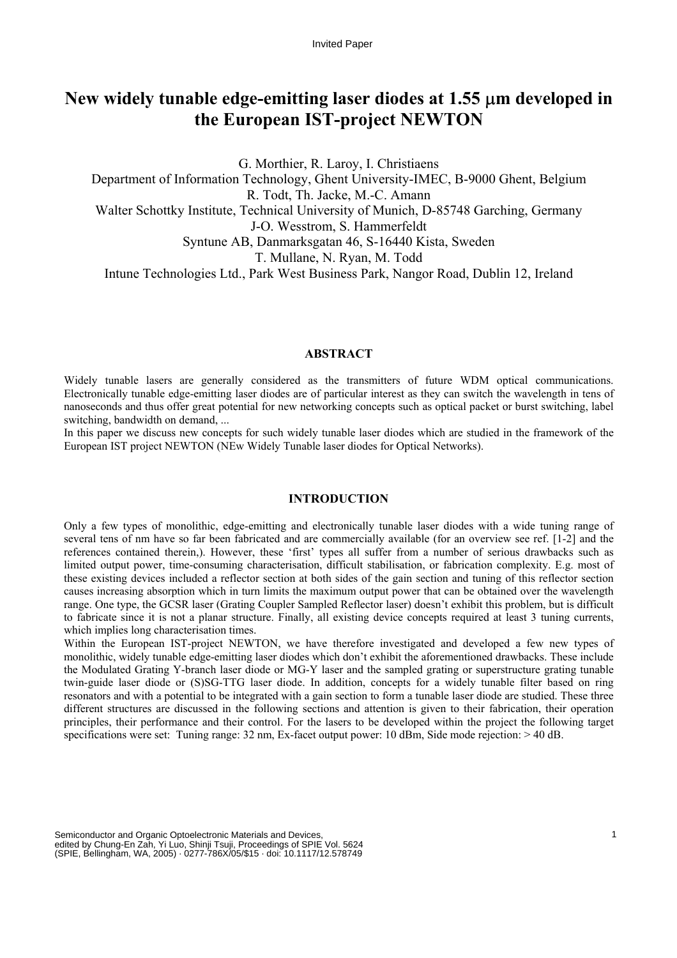# New widely tunable edge-emitting laser diodes at 1.55  $\mu$ m developed in **the European IST-project NEWTON**

G. Morthier, R. Laroy, I. Christiaens Department of Information Technology, Ghent University-IMEC, B-9000 Ghent, Belgium R. Todt, Th. Jacke, M.-C. Amann Walter Schottky Institute, Technical University of Munich, D-85748 Garching, Germany J-O. Wesstrom, S. Hammerfeldt Syntune AB, Danmarksgatan 46, S-16440 Kista, Sweden T. Mullane, N. Ryan, M. Todd Intune Technologies Ltd., Park West Business Park, Nangor Road, Dublin 12, Ireland

#### **ABSTRACT**

Widely tunable lasers are generally considered as the transmitters of future WDM optical communications. Electronically tunable edge-emitting laser diodes are of particular interest as they can switch the wavelength in tens of nanoseconds and thus offer great potential for new networking concepts such as optical packet or burst switching, label switching, bandwidth on demand, ...

In this paper we discuss new concepts for such widely tunable laser diodes which are studied in the framework of the European IST project NEWTON (NEw Widely Tunable laser diodes for Optical Networks).

#### **INTRODUCTION**

Only a few types of monolithic, edge-emitting and electronically tunable laser diodes with a wide tuning range of several tens of nm have so far been fabricated and are commercially available (for an overview see ref. [1-2] and the references contained therein,). However, these 'first' types all suffer from a number of serious drawbacks such as limited output power, time-consuming characterisation, difficult stabilisation, or fabrication complexity. E.g. most of these existing devices included a reflector section at both sides of the gain section and tuning of this reflector section causes increasing absorption which in turn limits the maximum output power that can be obtained over the wavelength range. One type, the GCSR laser (Grating Coupler Sampled Reflector laser) doesn't exhibit this problem, but is difficult to fabricate since it is not a planar structure. Finally, all existing device concepts required at least 3 tuning currents, which implies long characterisation times.

Within the European IST-project NEWTON, we have therefore investigated and developed a few new types of monolithic, widely tunable edge-emitting laser diodes which don't exhibit the aforementioned drawbacks. These include the Modulated Grating Y-branch laser diode or MG-Y laser and the sampled grating or superstructure grating tunable twin-guide laser diode or (S)SG-TTG laser diode. In addition, concepts for a widely tunable filter based on ring resonators and with a potential to be integrated with a gain section to form a tunable laser diode are studied. These three different structures are discussed in the following sections and attention is given to their fabrication, their operation principles, their performance and their control. For the lasers to be developed within the project the following target specifications were set: Tuning range: 32 nm, Ex-facet output power: 10 dBm, Side mode rejection:  $> 40$  dB.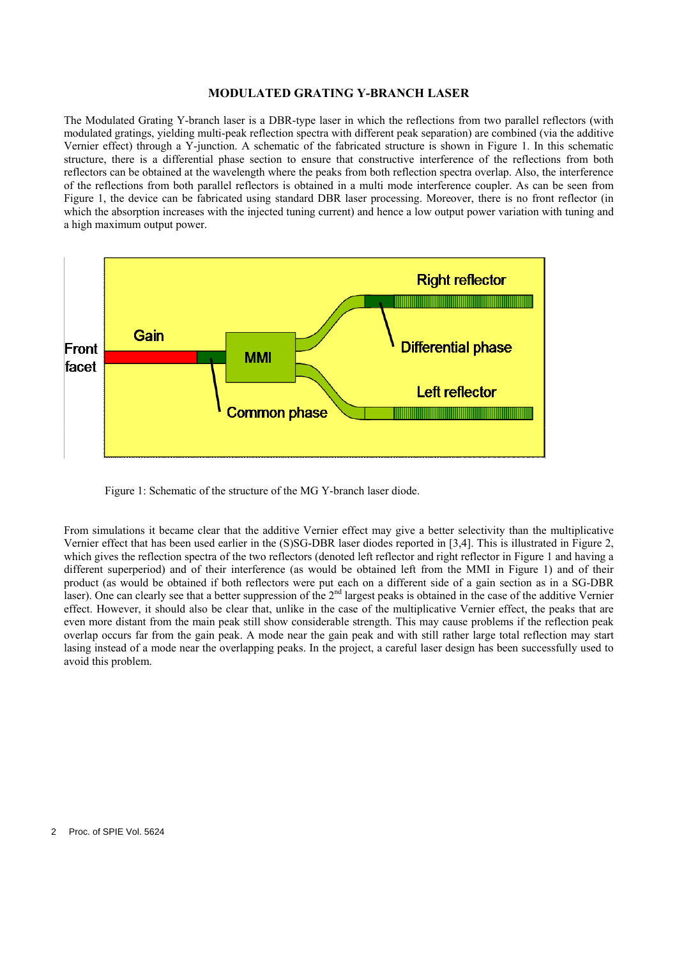## **MODULATED GRATING Y-BRANCH LASER**

The Modulated Grating Y-branch laser is a DBR-type laser in which the reflections from two parallel reflectors (with modulated gratings, yielding multi-peak reflection spectra with different peak separation) are combined (via the additive Vernier effect) through a Y-junction. A schematic of the fabricated structure is shown in Figure 1. In this schematic structure, there is a differential phase section to ensure that constructive interference of the reflections from both reflectors can be obtained at the wavelength where the peaks from both reflection spectra overlap. Also, the interference of the reflections from both parallel reflectors is obtained in a multi mode interference coupler. As can be seen from Figure 1, the device can be fabricated using standard DBR laser processing. Moreover, there is no front reflector (in which the absorption increases with the injected tuning current) and hence a low output power variation with tuning and a high maximum output power.



Figure 1: Schematic of the structure of the MG Y-branch laser diode.

From simulations it became clear that the additive Vernier effect may give a better selectivity than the multiplicative Vernier effect that has been used earlier in the (S)SG-DBR laser diodes reported in [3,4]. This is illustrated in Figure 2, which gives the reflection spectra of the two reflectors (denoted left reflector and right reflector in Figure 1 and having a different superperiod) and of their interference (as would be obtained left from the MMI in Figure 1) and of their product (as would be obtained if both reflectors were put each on a different side of a gain section as in a SG-DBR laser). One can clearly see that a better suppression of the 2<sup>nd</sup> largest peaks is obtained in the case of the additive Vernier effect. However, it should also be clear that, unlike in the case of the multiplicative Vernier effect, the peaks that are even more distant from the main peak still show considerable strength. This may cause problems if the reflection peak overlap occurs far from the gain peak. A mode near the gain peak and with still rather large total reflection may start lasing instead of a mode near the overlapping peaks. In the project, a careful laser design has been successfully used to avoid this problem.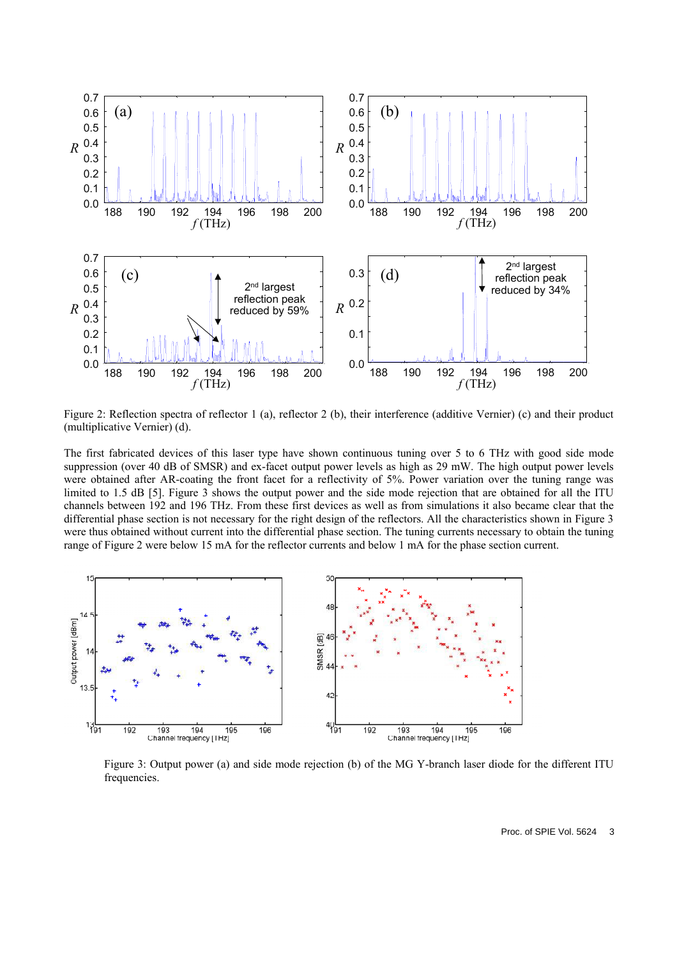

Figure 2: Reflection spectra of reflector 1 (a), reflector 2 (b), their interference (additive Vernier) (c) and their product (multiplicative Vernier) (d).

The first fabricated devices of this laser type have shown continuous tuning over 5 to 6 THz with good side mode suppression (over 40 dB of SMSR) and ex-facet output power levels as high as 29 mW. The high output power levels were obtained after AR-coating the front facet for a reflectivity of 5%. Power variation over the tuning range was limited to 1.5 dB [5]. Figure 3 shows the output power and the side mode rejection that are obtained for all the ITU channels between 192 and 196 THz. From these first devices as well as from simulations it also became clear that the differential phase section is not necessary for the right design of the reflectors. All the characteristics shown in Figure 3 were thus obtained without current into the differential phase section. The tuning currents necessary to obtain the tuning range of Figure 2 were below 15 mA for the reflector currents and below 1 mA for the phase section current.



Figure 3: Output power (a) and side mode rejection (b) of the MG Y-branch laser diode for the different ITU frequencies.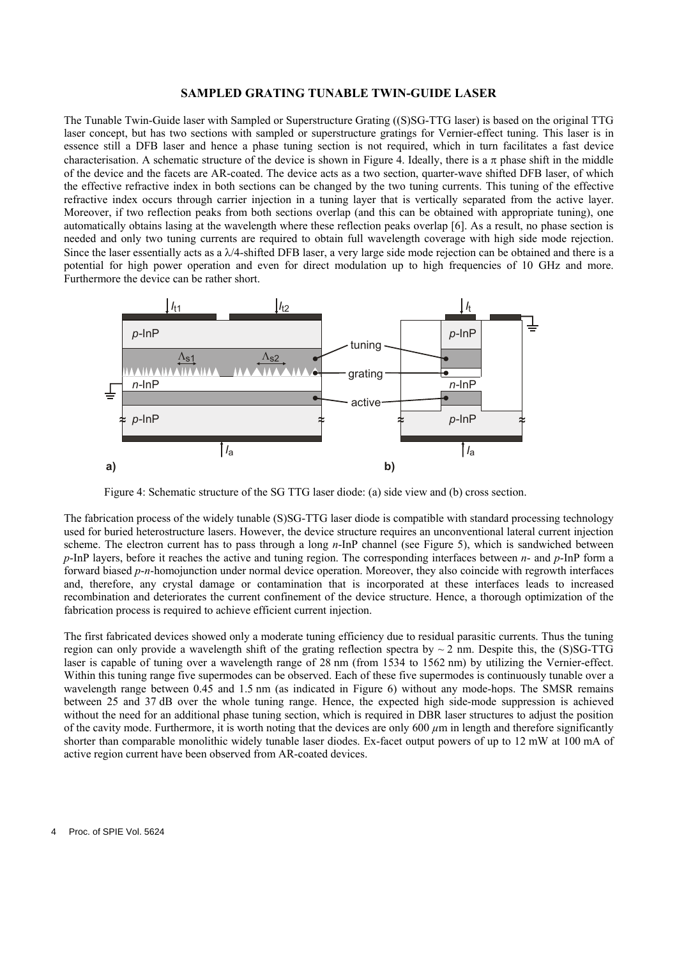## **SAMPLED GRATING TUNABLE TWIN-GUIDE LASER**

The Tunable Twin-Guide laser with Sampled or Superstructure Grating ((S)SG-TTG laser) is based on the original TTG laser concept, but has two sections with sampled or superstructure gratings for Vernier-effect tuning. This laser is in essence still a DFB laser and hence a phase tuning section is not required, which in turn facilitates a fast device characterisation. A schematic structure of the device is shown in Figure 4. Ideally, there is a  $\pi$  phase shift in the middle of the device and the facets are AR-coated. The device acts as a two section, quarter-wave shifted DFB laser, of which the effective refractive index in both sections can be changed by the two tuning currents. This tuning of the effective refractive index occurs through carrier injection in a tuning layer that is vertically separated from the active layer. Moreover, if two reflection peaks from both sections overlap (and this can be obtained with appropriate tuning), one automatically obtains lasing at the wavelength where these reflection peaks overlap [6]. As a result, no phase section is needed and only two tuning currents are required to obtain full wavelength coverage with high side mode rejection. Since the laser essentially acts as a  $\lambda/4$ -shifted DFB laser, a very large side mode rejection can be obtained and there is a potential for high power operation and even for direct modulation up to high frequencies of 10 GHz and more. Furthermore the device can be rather short.



Figure 4: Schematic structure of the SG TTG laser diode: (a) side view and (b) cross section.

The fabrication process of the widely tunable (S)SG-TTG laser diode is compatible with standard processing technology used for buried heterostructure lasers. However, the device structure requires an unconventional lateral current injection scheme. The electron current has to pass through a long *n*-InP channel (see Figure 5), which is sandwiched between *p*-InP layers, before it reaches the active and tuning region. The corresponding interfaces between *n*- and *p*-InP form a forward biased *p*-*n*-homojunction under normal device operation. Moreover, they also coincide with regrowth interfaces and, therefore, any crystal damage or contamination that is incorporated at these interfaces leads to increased recombination and deteriorates the current confinement of the device structure. Hence, a thorough optimization of the fabrication process is required to achieve efficient current injection.

The first fabricated devices showed only a moderate tuning efficiency due to residual parasitic currents. Thus the tuning region can only provide a wavelength shift of the grating reflection spectra by  $\sim$  2 nm. Despite this, the (S)SG-TTG laser is capable of tuning over a wavelength range of 28 nm (from 1534 to 1562 nm) by utilizing the Vernier-effect. Within this tuning range five supermodes can be observed. Each of these five supermodes is continuously tunable over a wavelength range between 0.45 and 1.5 nm (as indicated in Figure 6) without any mode-hops. The SMSR remains between 25 and 37 dB over the whole tuning range. Hence, the expected high side-mode suppression is achieved without the need for an additional phase tuning section, which is required in DBR laser structures to adjust the position of the cavity mode. Furthermore, it is worth noting that the devices are only 600  $\mu$ m in length and therefore significantly shorter than comparable monolithic widely tunable laser diodes. Ex-facet output powers of up to 12 mW at 100 mA of active region current have been observed from AR-coated devices.

Proc. of SPIE Vol. 5624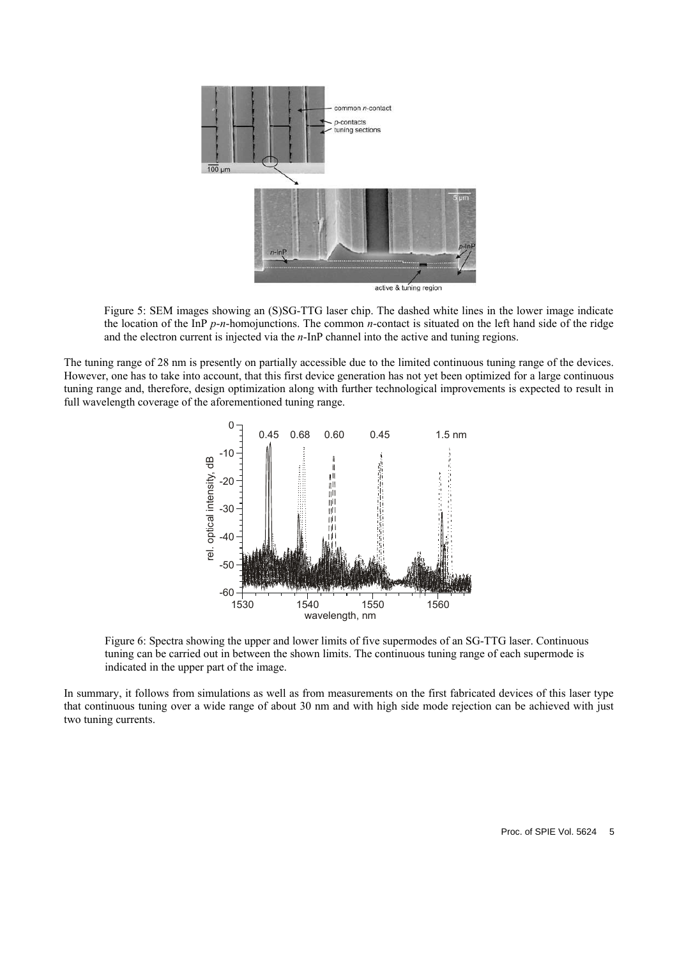

Figure 5: SEM images showing an (S)SG-TTG laser chip. The dashed white lines in the lower image indicate the location of the InP *p*-*n*-homojunctions. The common *n*-contact is situated on the left hand side of the ridge and the electron current is injected via the *n*-InP channel into the active and tuning regions.

The tuning range of 28 nm is presently on partially accessible due to the limited continuous tuning range of the devices. However, one has to take into account, that this first device generation has not yet been optimized for a large continuous tuning range and, therefore, design optimization along with further technological improvements is expected to result in full wavelength coverage of the aforementioned tuning range.



Figure 6: Spectra showing the upper and lower limits of five supermodes of an SG-TTG laser. Continuous tuning can be carried out in between the shown limits. The continuous tuning range of each supermode is indicated in the upper part of the image.

In summary, it follows from simulations as well as from measurements on the first fabricated devices of this laser type that continuous tuning over a wide range of about 30 nm and with high side mode rejection can be achieved with just two tuning currents.

Proc. of SPIE Vol. 5624 5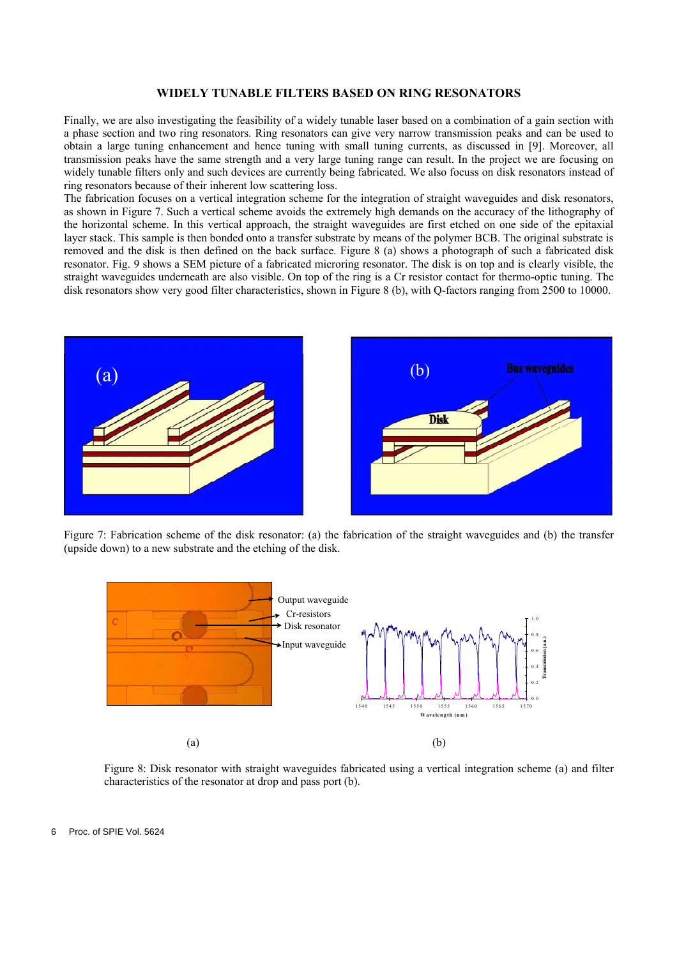## **WIDELY TUNABLE FILTERS BASED ON RING RESONATORS**

Finally, we are also investigating the feasibility of a widely tunable laser based on a combination of a gain section with a phase section and two ring resonators. Ring resonators can give very narrow transmission peaks and can be used to obtain a large tuning enhancement and hence tuning with small tuning currents, as discussed in [9]. Moreover, all transmission peaks have the same strength and a very large tuning range can result. In the project we are focusing on widely tunable filters only and such devices are currently being fabricated. We also focuss on disk resonators instead of ring resonators because of their inherent low scattering loss.

The fabrication focuses on a vertical integration scheme for the integration of straight waveguides and disk resonators, as shown in Figure 7. Such a vertical scheme avoids the extremely high demands on the accuracy of the lithography of the horizontal scheme. In this vertical approach, the straight waveguides are first etched on one side of the epitaxial layer stack. This sample is then bonded onto a transfer substrate by means of the polymer BCB. The original substrate is removed and the disk is then defined on the back surface. Figure 8 (a) shows a photograph of such a fabricated disk resonator. Fig. 9 shows a SEM picture of a fabricated microring resonator. The disk is on top and is clearly visible, the straight waveguides underneath are also visible. On top of the ring is a Cr resistor contact for thermo-optic tuning. The disk resonators show very good filter characteristics, shown in Figure 8 (b), with Q-factors ranging from 2500 to 10000.



Figure 7: Fabrication scheme of the disk resonator: (a) the fabrication of the straight waveguides and (b) the transfer (upside down) to a new substrate and the etching of the disk.



Figure 8: Disk resonator with straight waveguides fabricated using a vertical integration scheme (a) and filter characteristics of the resonator at drop and pass port (b).

6 Proc. of SPIE Vol. 5624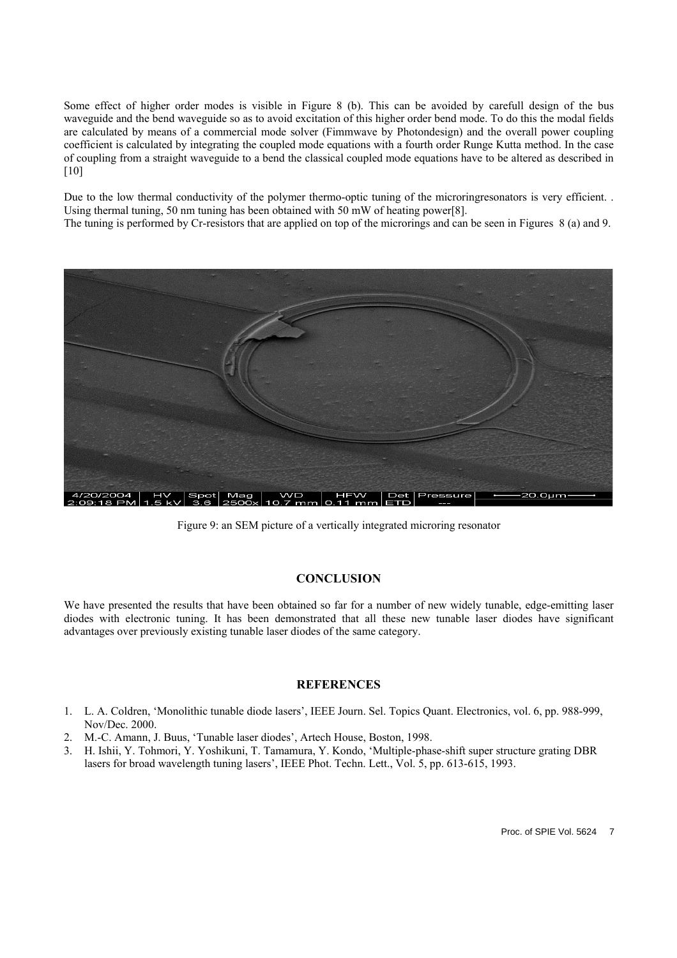Some effect of higher order modes is visible in Figure 8 (b). This can be avoided by carefull design of the bus waveguide and the bend waveguide so as to avoid excitation of this higher order bend mode. To do this the modal fields are calculated by means of a commercial mode solver (Fimmwave by Photondesign) and the overall power coupling coefficient is calculated by integrating the coupled mode equations with a fourth order Runge Kutta method. In the case of coupling from a straight waveguide to a bend the classical coupled mode equations have to be altered as described in [10]

Due to the low thermal conductivity of the polymer thermo-optic tuning of the microringresonators is very efficient. Using thermal tuning, 50 nm tuning has been obtained with 50 mW of heating power[8]. The tuning is performed by Cr-resistors that are applied on top of the microrings and can be seen in Figures 8 (a) and 9.



Figure 9: an SEM picture of a vertically integrated microring resonator

# **CONCLUSION**

We have presented the results that have been obtained so far for a number of new widely tunable, edge-emitting laser diodes with electronic tuning. It has been demonstrated that all these new tunable laser diodes have significant advantages over previously existing tunable laser diodes of the same category.

# **REFERENCES**

- 1. L. A. Coldren, 'Monolithic tunable diode lasers', IEEE Journ. Sel. Topics Quant. Electronics, vol. 6, pp. 988-999, Nov/Dec. 2000.
- 2. M.-C. Amann, J. Buus, 'Tunable laser diodes', Artech House, Boston, 1998.
- 3. H. Ishii, Y. Tohmori, Y. Yoshikuni, T. Tamamura, Y. Kondo, 'Multiple-phase-shift super structure grating DBR lasers for broad wavelength tuning lasers', IEEE Phot. Techn. Lett., Vol. 5, pp. 613-615, 1993.